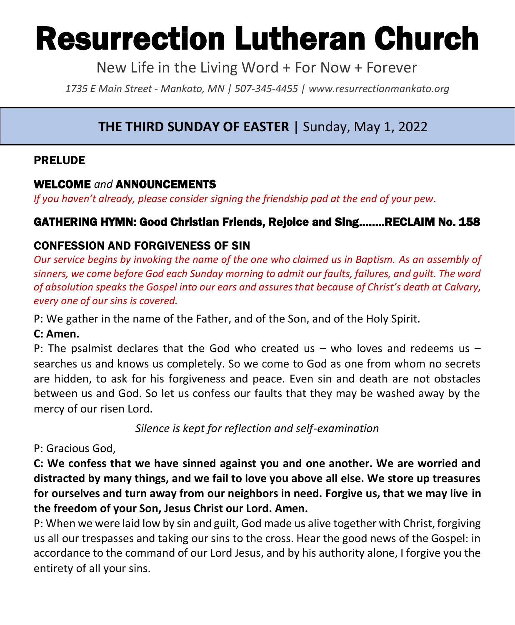# Resurrection Lutheran Church

New Life in the Living Word + For Now + Forever

*1735 E Main Street - Mankato, MN | 507-345-4455 | [www.resurrectionmankato.org](http://www.resurrectionmankato.org/)*

#### *\_\_\_\_\_\_\_\_\_\_\_\_\_\_\_\_\_\_\_\_\_\_\_\_\_\_\_\_\_\_\_\_\_\_\_\_\_\_\_\_\_\_\_\_\_\_\_\_\_\_\_\_\_\_\_\_\_\_\_\_\_\_\_\_\_\_\_\_\_\_\_\_\_\_\_\_\_\_\_* **THE THIRD SUNDAY OF EASTER** | Sunday, May 1, 2022

*\_\_\_\_\_\_\_\_\_\_\_\_\_\_\_\_\_\_\_\_\_\_\_\_\_\_\_\_\_\_\_\_\_\_\_\_\_\_\_\_\_\_\_\_\_\_\_\_\_\_\_\_\_\_\_\_\_\_\_\_\_\_\_\_\_\_\_\_\_\_\_\_\_\_\_\_\_\_\_*

## PRELUDE

## WELCOME *and* ANNOUNCEMENTS

*If you haven't already, please consider signing the friendship pad at the end of your pew.* 

## GATHERING HYMN: Good Christian Friends, Rejoice and Sing……..RECLAIM No. 158

# CONFESSION AND FORGIVENESS OF SIN

*Our service begins by invoking the name of the one who claimed us in Baptism. As an assembly of sinners, we come before God each Sunday morning to admit our faults, failures, and guilt. The word of absolution speaks the Gospel into our ears and assures that because of Christ's death at Calvary, every one of our sins is covered.* 

P: We gather in the name of the Father, and of the Son, and of the Holy Spirit.

## **C: Amen.**

P: The psalmist declares that the God who created us  $-$  who loves and redeems us  $$ searches us and knows us completely. So we come to God as one from whom no secrets are hidden, to ask for his forgiveness and peace. Even sin and death are not obstacles between us and God. So let us confess our faults that they may be washed away by the mercy of our risen Lord.

*Silence is kept for reflection and self-examination*

## P: Gracious God,

**C: We confess that we have sinned against you and one another. We are worried and distracted by many things, and we fail to love you above all else. We store up treasures for ourselves and turn away from our neighbors in need. Forgive us, that we may live in the freedom of your Son, Jesus Christ our Lord. Amen.** 

P: When we were laid low by sin and guilt, God made us alive together with Christ, forgiving us all our trespasses and taking our sins to the cross. Hear the good news of the Gospel: in accordance to the command of our Lord Jesus, and by his authority alone, I forgive you the entirety of all your sins.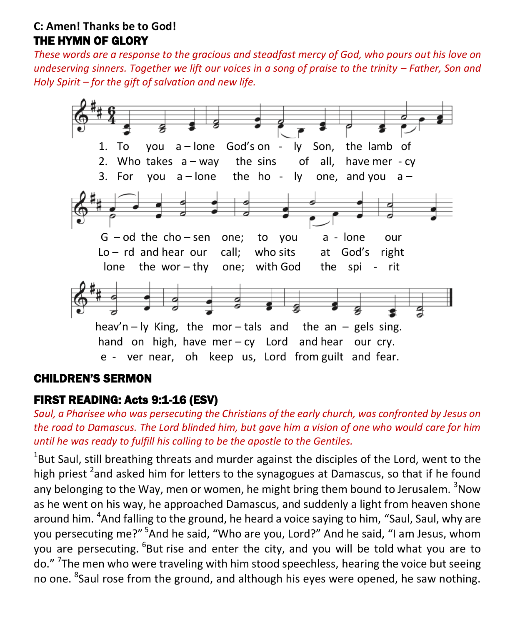## **C: Amen! Thanks be to God!**  THE HYMN OF GLORY

*These words are a response to the gracious and steadfast mercy of God, who pours out his love on undeserving sinners. Together we lift our voices in a song of praise to the trinity – Father, Son and Holy Spirit – for the gift of salvation and new life.* 



## CHILDREN'S SERMON

## FIRST READING: Acts 9:1-16 (ESV)

*Saul, a Pharisee who was persecuting the Christians of the early church, was confronted by Jesus on the road to Damascus. The Lord blinded him, but gave him a vision of one who would care for him until he was ready to fulfill his calling to be the apostle to the Gentiles.* 

 $^{1}$ But Saul, still breathing threats and murder against the disciples of the Lord, went to the high priest <sup>2</sup>and asked him for letters to the synagogues at Damascus, so that if he found any belonging to the Way, men or women, he might bring them bound to Jerusalem. <sup>3</sup>Now as he went on his way, he approached Damascus, and suddenly a light from heaven shone around him. <sup>4</sup>And falling to the ground, he heard a voice saying to him, "Saul, Saul, why are you persecuting me?" <sup>5</sup>And he said, "Who are you, Lord?" And he said, "I am Jesus, whom you are persecuting. <sup>6</sup>But rise and enter the city, and you will be told what you are to do." <sup>7</sup>The men who were traveling with him stood speechless, hearing the voice but seeing no one. <sup>8</sup>Saul rose from the ground, and although his eyes were opened, he saw nothing.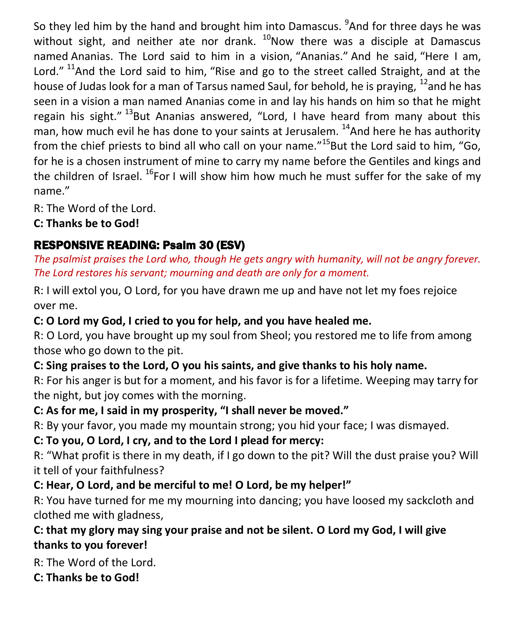So they led him by the hand and brought him into Damascus. <sup>9</sup>And for three days he was without sight, and neither ate nor drank.  $^{10}$ Now there was a disciple at Damascus named Ananias. The Lord said to him in a vision, "Ananias." And he said, "Here I am, Lord."  $11$ And the Lord said to him, "Rise and go to the street called Straight, and at the house of Judas look for a man of Tarsus named Saul, for behold, he is praying,  $^{12}$ and he has seen in a vision a man named Ananias come in and lay his hands on him so that he might regain his sight."  $^{13}$ But Ananias answered, "Lord, I have heard from many about this man, how much evil he has done to your saints at Jerusalem.  $14$ And here he has authority from the chief priests to bind all who call on your name."<sup>15</sup>But the Lord said to him, "Go, for he is a chosen instrument of mine to carry my name before the Gentiles and kings and the children of Israel.  $^{16}$ For I will show him how much he must suffer for the sake of my name."

R: The Word of the Lord.

**C: Thanks be to God!** 

# RESPONSIVE READING: Psalm 30 (ESV)

*The psalmist praises the Lord who, though He gets angry with humanity, will not be angry forever. The Lord restores his servant; mourning and death are only for a moment.* 

R: I will extol you, O Lord, for you have drawn me up and have not let my foes rejoice over me.

**C: O Lord my God, I cried to you for help, and you have healed me.**

R: O Lord, you have brought up my soul from Sheol; you restored me to life from among those who go down to the pit.

**C: Sing praises to the Lord, O you his saints, and give thanks to his holy name.**

R: For his anger is but for a moment, and his favor is for a lifetime. Weeping may tarry for the night, but joy comes with the morning.

# **C: As for me, I said in my prosperity, "I shall never be moved."**

R: By your favor, you made my mountain strong; you hid your face; I was dismayed.

# **C: To you, O Lord, I cry, and to the Lord I plead for mercy:**

R: "What profit is there in my death, if I go down to the pit? Will the dust praise you? Will it tell of your faithfulness?

# **C: Hear, O Lord, and be merciful to me! O Lord, be my helper!"**

R: You have turned for me my mourning into dancing; you have loosed my sackcloth and clothed me with gladness,

# **C: that my glory may sing your praise and not be silent. O Lord my God, I will give thanks to you forever!**

R: The Word of the Lord.

**C: Thanks be to God!**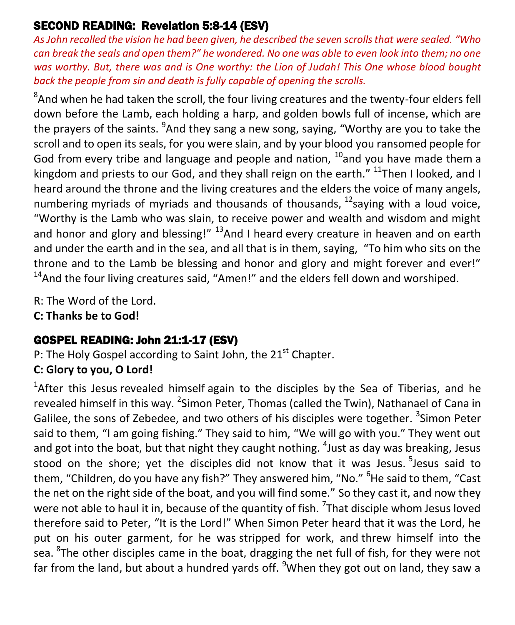## SECOND READING: Revelation 5:8-14 (ESV)

*As John recalled the vision he had been given, he described the seven scrolls that were sealed. "Who can break the seals and open them?" he wondered. No one was able to even look into them; no one was worthy. But, there was and is One worthy: the Lion of Judah! This One whose blood bought back the people from sin and death is fully capable of opening the scrolls.* 

 ${}^{8}$ And when he had taken the scroll, the four living creatures and the twenty-four elders fell down before the Lamb, each holding a harp, and golden bowls full of incense, which are the prayers of the saints. <sup>9</sup>And they sang a new song, saying, "Worthy are you to take the scroll and to open its seals, for you were slain, and by your blood you ransomed people for God from every tribe and language and people and nation,  $^{10}$ and you have made them a kingdom and priests to our God, and they shall reign on the earth."  $^{11}$ Then I looked, and I heard around the throne and the living creatures and the elders the voice of many angels, numbering myriads of myriads and thousands of thousands,  $^{12}$ saying with a loud voice, "Worthy is the Lamb who was slain, to receive power and wealth and wisdom and might and honor and glory and blessing!"  $^{13}$ And I heard every creature in heaven and on earth and under the earth and in the sea, and all that is in them, saying, "To him who sits on the throne and to the Lamb be blessing and honor and glory and might forever and ever!"  $14$ And the four living creatures said, "Amen!" and the elders fell down and worshiped.

R: The Word of the Lord. **C: Thanks be to God!** 

# GOSPEL READING: John 21:1-17 (ESV)

P: The Holy Gospel according to Saint John, the 21<sup>st</sup> Chapter.

# **C: Glory to you, O Lord!**

 $<sup>1</sup>$ After this Jesus revealed himself again to the disciples by the Sea of Tiberias, and he</sup> revealed himself in this way. <sup>2</sup>Simon Peter, Thomas (called the Twin), Nathanael of Cana in Galilee, the sons of Zebedee, and two others of his disciples were together. <sup>3</sup>Simon Peter said to them, "I am going fishing." They said to him, "We will go with you." They went out and got into the boat, but that night they caught nothing. <sup>4</sup>Just as day was breaking, Jesus stood on the shore; yet the disciples did not know that it was Jesus. <sup>5</sup>Jesus said to them, "Children, do you have any fish?" They answered him, "No." <sup>6</sup>He said to them, "Cast the net on the right side of the boat, and you will find some." So they cast it, and now they were not able to haul it in, because of the quantity of fish. <sup>7</sup>That disciple whom Jesus loved therefore said to Peter, "It is the Lord!" When Simon Peter heard that it was the Lord, he put on his outer garment, for he was stripped for work, and threw himself into the sea. <sup>8</sup>The other disciples came in the boat, dragging the net full of fish, for they were not far from the land, but about a hundred yards off. <sup>9</sup>When they got out on land, they saw a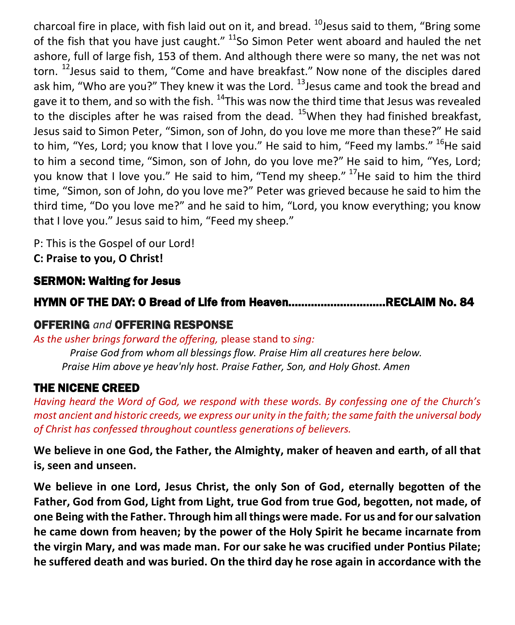charcoal fire in place, with fish laid out on it, and bread.  $^{10}$ Jesus said to them, "Bring some of the fish that you have just caught."  $11$ So Simon Peter went aboard and hauled the net ashore, full of large fish, 153 of them. And although there were so many, the net was not torn. <sup>12</sup> Jesus said to them, "Come and have breakfast." Now none of the disciples dared ask him, "Who are you?" They knew it was the Lord.  $^{13}$  Jesus came and took the bread and gave it to them, and so with the fish.  $^{14}$ This was now the third time that Jesus was revealed to the disciples after he was raised from the dead.  $15$ When they had finished breakfast, Jesus said to Simon Peter, "Simon, son of John, do you love me more than these?" He said to him, "Yes, Lord; you know that I love you." He said to him, "Feed my lambs."  $^{16}$ He said to him a second time, "Simon, son of John, do you love me?" He said to him, "Yes, Lord; you know that I love you." He said to him, "Tend my sheep."  $17$ He said to him the third time, "Simon, son of John, do you love me?" Peter was grieved because he said to him the third time, "Do you love me?" and he said to him, "Lord, you know everything; you know that I love you." Jesus said to him, "Feed my sheep."

P: This is the Gospel of our Lord! **C: Praise to you, O Christ!** 

## SERMON: Waiting for Jesus

# HYMN OF THE DAY: O Bread of Life from Heaven…………………………RECLAIM No. 84

## OFFERING *and* OFFERING RESPONSE

*As the usher brings forward the offering,* please stand to *sing:*

*Praise God from whom all blessings flow. Praise Him all creatures here below. Praise Him above ye heav'nly host. Praise Father, Son, and Holy Ghost. Amen*

## THE NICENE CREED

*Having heard the Word of God, we respond with these words. By confessing one of the Church's most ancient and historic creeds, we express our unity in the faith; the same faith the universal body of Christ has confessed throughout countless generations of believers.* 

**We believe in one God, the Father, the Almighty, maker of heaven and earth, of all that is, seen and unseen.**

**We believe in one Lord, Jesus Christ, the only Son of God, eternally begotten of the Father, God from God, Light from Light, true God from true God, begotten, not made, of one Being with the Father. Through him all things were made. For us and for our salvation he came down from heaven; by the power of the Holy Spirit he became incarnate from the virgin Mary, and was made man. For our sake he was crucified under Pontius Pilate; he suffered death and was buried. On the third day he rose again in accordance with the**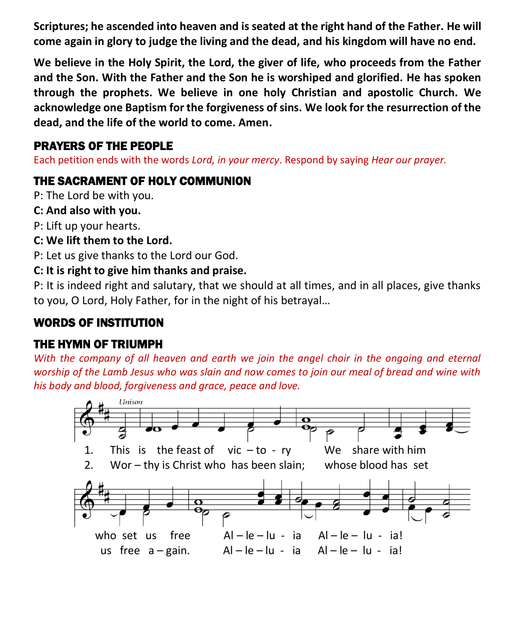**Scriptures; he ascended into heaven and is seated at the right hand of the Father. He will come again in glory to judge the living and the dead, and his kingdom will have no end.**

**We believe in the Holy Spirit, the Lord, the giver of life, who proceeds from the Father and the Son. With the Father and the Son he is worshiped and glorified. He has spoken through the prophets. We believe in one holy Christian and apostolic Church. We acknowledge one Baptism for the forgiveness of sins. We look for the resurrection of the dead, and the life of the world to come. Amen.**

## PRAYERS OF THE PEOPLE

Each petition ends with the words *Lord, in your mercy*. Respond by saying *Hear our prayer.*

## THE SACRAMENT OF HOLY COMMUNION

P: The Lord be with you.

**C: And also with you.**

P: Lift up your hearts.

**C: We lift them to the Lord.**

P: Let us give thanks to the Lord our God.

**C: It is right to give him thanks and praise.**

P: It is indeed right and salutary, that we should at all times, and in all places, give thanks to you, O Lord, Holy Father, for in the night of his betrayal…

# WORDS OF INSTITUTION

# THE HYMN OF TRIUMPH

*With the company of all heaven and earth we join the angel choir in the ongoing and eternal worship of the Lamb Jesus who was slain and now comes to join our meal of bread and wine with his body and blood, forgiveness and grace, peace and love.* 

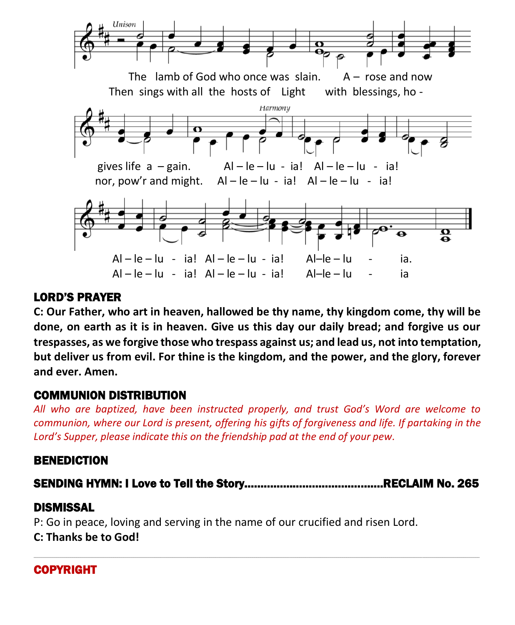

#### LORD'S PRAYER

**C: Our Father, who art in heaven, hallowed be thy name, thy kingdom come, thy will be done, on earth as it is in heaven. Give us this day our daily bread; and forgive us our trespasses, as we forgive those who trespass against us; and lead us, not into temptation, but deliver us from evil. For thine is the kingdom, and the power, and the glory, forever and ever. Amen.**

## COMMUNION DISTRIBUTION

*All who are baptized, have been instructed properly, and trust God's Word are welcome to communion, where our Lord is present, offering his gifts of forgiveness and life. If partaking in the Lord's Supper, please indicate this on the friendship pad at the end of your pew.*

## **BENEDICTION**

SENDING HYMN: I Love to Tell the Story…………………………………….RECLAIM No. 265

\_\_\_\_\_\_\_\_\_\_\_\_\_\_\_\_\_\_\_\_\_\_\_\_\_\_\_\_\_\_\_\_\_\_\_\_\_\_\_\_\_\_\_\_\_\_\_\_\_\_\_\_\_\_\_\_\_\_\_\_\_\_\_\_\_\_\_\_\_\_\_\_\_\_\_\_\_\_\_\_\_\_\_\_\_\_\_\_\_\_\_\_\_\_\_\_\_\_\_\_\_\_\_\_\_\_\_\_\_\_\_\_\_\_\_\_\_\_\_\_\_\_\_\_\_\_\_\_\_\_\_\_\_\_\_\_\_\_\_\_\_\_\_\_\_\_\_\_\_\_\_\_\_\_\_\_\_\_\_\_\_\_\_\_\_\_\_\_\_\_\_\_\_\_\_\_\_\_\_\_\_\_\_\_\_\_\_\_\_\_\_\_\_\_\_\_\_\_\_\_\_\_\_\_\_\_\_\_\_\_\_\_\_\_\_\_\_\_

#### DISMISSAL

P: Go in peace, loving and serving in the name of our crucified and risen Lord. **C: Thanks be to God!**

## COPYRIGHT